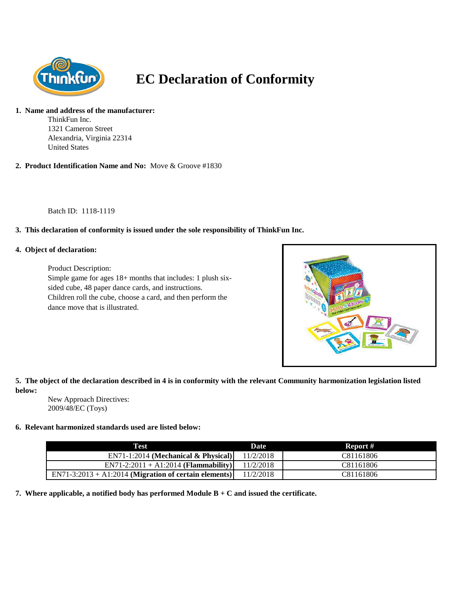

# **EC Declaration of Conformity**

### **1. Name and address of the manufacturer:**

ThinkFun Inc. 1321 Cameron Street Alexandria, Virginia 22314 United States

**2. Product Identification Name and No:** Move & Groove #1830

Batch ID: 1118-1119

## **3. This declaration of conformity is issued under the sole responsibility of ThinkFun Inc.**

#### **4. Object of declaration:**

Product Description: Simple game for ages 18+ months that includes: 1 plush sixsided cube, 48 paper dance cards, and instructions. Children roll the cube, choose a card, and then perform the dance move that is illustrated.



**5. The object of the declaration described in 4 is in conformity with the relevant Community harmonization legislation listed below:**

New Approach Directives: 2009/48/EC (Toys)

#### **6. Relevant harmonized standards used are listed below:**

| Test                                                    | <b>Date</b> | Report #  |
|---------------------------------------------------------|-------------|-----------|
| $EN71-1:2014$ (Mechanical & Physical)                   | 11/2/2018   | C81161806 |
| $EN71-2:2011 + A1:2014$ (Flammability)                  | 11/2/2018   | C81161806 |
| $EN71-3:2013 + A1:2014$ (Migration of certain elements) | 11/2/2018   | C81161806 |

**7. Where applicable, a notified body has performed Module B + C and issued the certificate.**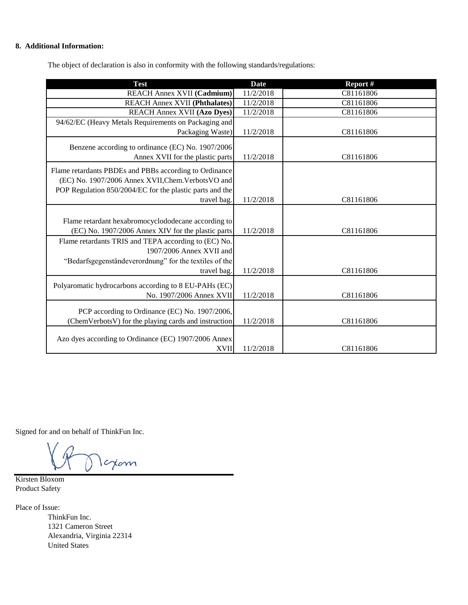## **8. Additional Information:**

The object of declaration is also in conformity with the following standards/regulations:

| <b>Test</b>                                              | <b>Date</b> | Report #  |
|----------------------------------------------------------|-------------|-----------|
| <b>REACH Annex XVII (Cadmium)</b>                        | 11/2/2018   | C81161806 |
| <b>REACH Annex XVII (Phthalates)</b>                     | 11/2/2018   | C81161806 |
| <b>REACH Annex XVII (Azo Dyes)</b>                       | 11/2/2018   | C81161806 |
| 94/62/EC (Heavy Metals Requirements on Packaging and     |             |           |
| Packaging Waste)                                         | 11/2/2018   | C81161806 |
| Benzene according to ordinance (EC) No. 1907/2006        |             |           |
| Annex XVII for the plastic parts                         | 11/2/2018   | C81161806 |
|                                                          |             |           |
| Flame retardants PBDEs and PBBs according to Ordinance   |             |           |
| (EC) No. 1907/2006 Annex XVII, Chem. Verbots VO and      |             |           |
| POP Regulation 850/2004/EC for the plastic parts and the |             |           |
| travel bag.                                              | 11/2/2018   | C81161806 |
|                                                          |             |           |
| Flame retardant hexabromocyclododecane according to      |             |           |
| (EC) No. 1907/2006 Annex XIV for the plastic parts       | 11/2/2018   | C81161806 |
| Flame retardants TRIS and TEPA according to (EC) No.     |             |           |
| 1907/2006 Annex XVII and                                 |             |           |
| "Bedarfsgegenständeverordnung" for the textiles of the   |             |           |
| travel bag.                                              | 11/2/2018   | C81161806 |
| Polyaromatic hydrocarbons according to 8 EU-PAHs (EC)    |             |           |
| No. 1907/2006 Annex XVII                                 | 11/2/2018   | C81161806 |
|                                                          |             |           |
| PCP according to Ordinance (EC) No. 1907/2006,           |             |           |
| (ChemVerbotsV) for the playing cards and instruction     | 11/2/2018   | C81161806 |
|                                                          |             |           |
| Azo dyes according to Ordinance (EC) 1907/2006 Annex     |             |           |
| <b>XVII</b>                                              | 11/2/2018   | C81161806 |

Signed for and on behalf of ThinkFun Inc.

Icxam

Kirsten Bloxom Product Safety

Place of Issue: ThinkFun Inc. 1321 Cameron Street Alexandria, Virginia 22314 United States